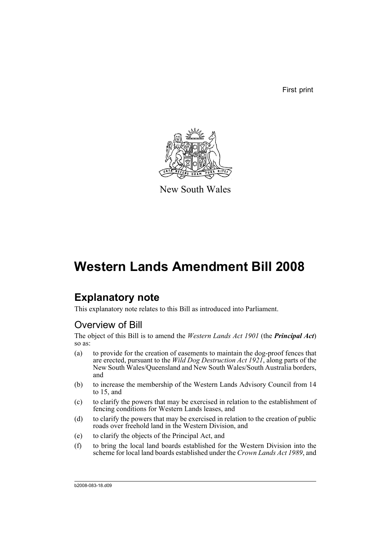First print



New South Wales

## **Western Lands Amendment Bill 2008**

## **Explanatory note**

This explanatory note relates to this Bill as introduced into Parliament.

## Overview of Bill

The object of this Bill is to amend the *Western Lands Act 1901* (the *Principal Act*) so as:

- (a) to provide for the creation of easements to maintain the dog-proof fences that are erected, pursuant to the *Wild Dog Destruction Act 1921*, along parts of the New South Wales/Queensland and New South Wales/South Australia borders, and
- (b) to increase the membership of the Western Lands Advisory Council from 14 to 15, and
- (c) to clarify the powers that may be exercised in relation to the establishment of fencing conditions for Western Lands leases, and
- (d) to clarify the powers that may be exercised in relation to the creation of public roads over freehold land in the Western Division, and
- (e) to clarify the objects of the Principal Act, and
- (f) to bring the local land boards established for the Western Division into the scheme for local land boards established under the *Crown Lands Act 1989*, and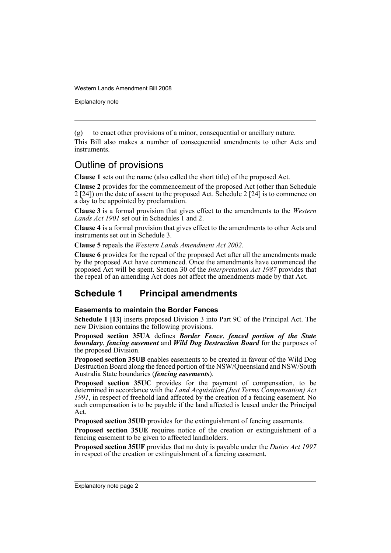Explanatory note

(g) to enact other provisions of a minor, consequential or ancillary nature.

This Bill also makes a number of consequential amendments to other Acts and instruments.

## Outline of provisions

**Clause 1** sets out the name (also called the short title) of the proposed Act.

**Clause 2** provides for the commencement of the proposed Act (other than Schedule 2 [24]) on the date of assent to the proposed Act. Schedule 2 [24] is to commence on a day to be appointed by proclamation.

**Clause 3** is a formal provision that gives effect to the amendments to the *Western Lands Act 1901* set out in Schedules 1 and 2.

**Clause 4** is a formal provision that gives effect to the amendments to other Acts and instruments set out in Schedule 3.

**Clause 5** repeals the *Western Lands Amendment Act 2002*.

**Clause 6** provides for the repeal of the proposed Act after all the amendments made by the proposed Act have commenced. Once the amendments have commenced the proposed Act will be spent. Section 30 of the *Interpretation Act 1987* provides that the repeal of an amending Act does not affect the amendments made by that Act.

### **Schedule 1 Principal amendments**

#### **Easements to maintain the Border Fences**

**Schedule 1 [13]** inserts proposed Division 3 into Part 9C of the Principal Act. The new Division contains the following provisions.

**Proposed section 35UA** defines *Border Fence*, *fenced portion of the State boundary*, *fencing easement* and *Wild Dog Destruction Board* for the purposes of the proposed Division.

**Proposed section 35UB** enables easements to be created in favour of the Wild Dog Destruction Board along the fenced portion of the NSW/Queensland and NSW/South Australia State boundaries (*fencing easements*).

**Proposed section 35UC** provides for the payment of compensation, to be determined in accordance with the *Land Acquisition (Just Terms Compensation) Act 1991*, in respect of freehold land affected by the creation of a fencing easement. No such compensation is to be payable if the land affected is leased under the Principal Act.

**Proposed section 35UD** provides for the extinguishment of fencing easements.

**Proposed section 35UE** requires notice of the creation or extinguishment of a fencing easement to be given to affected landholders.

**Proposed section 35UF** provides that no duty is payable under the *Duties Act 1997* in respect of the creation or extinguishment of a fencing easement.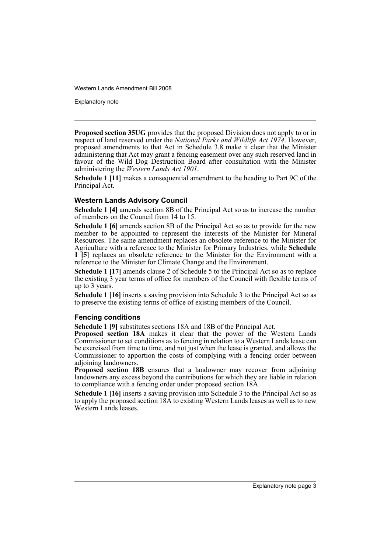Explanatory note

**Proposed section 35UG** provides that the proposed Division does not apply to or in respect of land reserved under the *National Parks and Wildlife Act 1974*. However, proposed amendments to that Act in Schedule 3.8 make it clear that the Minister administering that Act may grant a fencing easement over any such reserved land in favour of the Wild Dog Destruction Board after consultation with the Minister administering the *Western Lands Act 1901*.

**Schedule 1 [11]** makes a consequential amendment to the heading to Part 9C of the Principal Act.

#### **Western Lands Advisory Council**

**Schedule 1 [4]** amends section 8B of the Principal Act so as to increase the number of members on the Council from 14 to 15.

**Schedule 1 [6]** amends section 8B of the Principal Act so as to provide for the new member to be appointed to represent the interests of the Minister for Mineral Resources. The same amendment replaces an obsolete reference to the Minister for Agriculture with a reference to the Minister for Primary Industries, while **Schedule 1 [5]** replaces an obsolete reference to the Minister for the Environment with a reference to the Minister for Climate Change and the Environment.

**Schedule 1 [17]** amends clause 2 of Schedule 5 to the Principal Act so as to replace the existing 3 year terms of office for members of the Council with flexible terms of up to 3 years.

**Schedule 1 [16]** inserts a saving provision into Schedule 3 to the Principal Act so as to preserve the existing terms of office of existing members of the Council.

#### **Fencing conditions**

**Schedule 1 [9]** substitutes sections 18A and 18B of the Principal Act.

**Proposed section 18A** makes it clear that the power of the Western Lands Commissioner to set conditions as to fencing in relation to a Western Lands lease can be exercised from time to time, and not just when the lease is granted, and allows the Commissioner to apportion the costs of complying with a fencing order between adjoining landowners.

**Proposed section 18B** ensures that a landowner may recover from adjoining landowners any excess beyond the contributions for which they are liable in relation to compliance with a fencing order under proposed section 18A.

**Schedule 1 [16]** inserts a saving provision into Schedule 3 to the Principal Act so as to apply the proposed section  $18\overrightarrow{A}$  to existing Western Lands leases as well as to new Western Lands leases.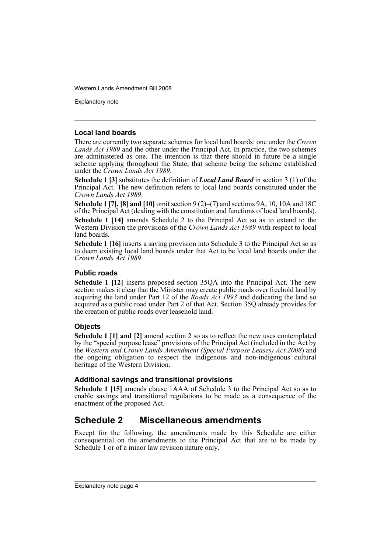Explanatory note

#### **Local land boards**

There are currently two separate schemes for local land boards: one under the *Crown Lands Act 1989* and the other under the Principal Act. In practice, the two schemes are administered as one. The intention is that there should in future be a single scheme applying throughout the State, that scheme being the scheme established under the *Crown Lands Act 1989*.

**Schedule 1 [3]** substitutes the definition of *Local Land Board* in section 3 (1) of the Principal Act. The new definition refers to local land boards constituted under the *Crown Lands Act 1989*.

**Schedule 1 [7], [8] and [10]** omit section 9 (2)–(7) and sections 9A, 10, 10A and 18C of the Principal Act (dealing with the constitution and functions of local land boards).

**Schedule 1 [14]** amends Schedule 2 to the Principal Act so as to extend to the Western Division the provisions of the *Crown Lands Act 1989* with respect to local land boards.

**Schedule 1 [16]** inserts a saving provision into Schedule 3 to the Principal Act so as to deem existing local land boards under that Act to be local land boards under the *Crown Lands Act 1989*.

#### **Public roads**

**Schedule 1 [12]** inserts proposed section 35QA into the Principal Act. The new section makes it clear that the Minister may create public roads over freehold land by acquiring the land under Part 12 of the *Roads Act 1993* and dedicating the land so acquired as a public road under Part 2 of that Act. Section 35Q already provides for the creation of public roads over leasehold land.

#### **Objects**

**Schedule 1 [1] and [2]** amend section 2 so as to reflect the new uses contemplated by the "special purpose lease" provisions of the Principal Act (included in the Act by the *Western and Crown Lands Amendment (Special Purpose Leases) Act 2008*) and the ongoing obligation to respect the indigenous and non-indigenous cultural heritage of the Western Division.

#### **Additional savings and transitional provisions**

**Schedule 1 [15]** amends clause 1AAA of Schedule 3 to the Principal Act so as to enable savings and transitional regulations to be made as a consequence of the enactment of the proposed Act.

### **Schedule 2 Miscellaneous amendments**

Except for the following, the amendments made by this Schedule are either consequential on the amendments to the Principal Act that are to be made by Schedule 1 or of a minor law revision nature only.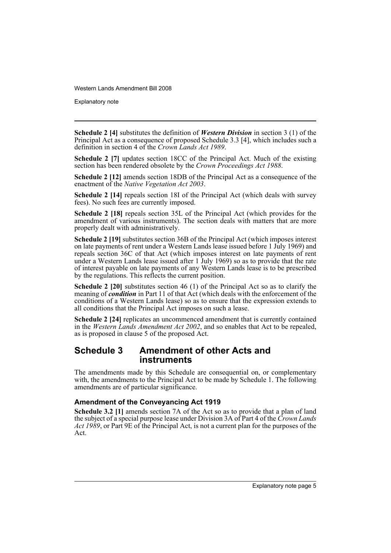Explanatory note

**Schedule 2 [4]** substitutes the definition of *Western Division* in section 3 (1) of the Principal Act as a consequence of proposed Schedule 3.3 [4], which includes such a definition in section 4 of the *Crown Lands Act 1989*.

**Schedule 2 [7]** updates section 18CC of the Principal Act. Much of the existing section has been rendered obsolete by the *Crown Proceedings Act 1988*.

**Schedule 2 [12]** amends section 18DB of the Principal Act as a consequence of the enactment of the *Native Vegetation Act 2003*.

**Schedule 2 [14]** repeals section 18I of the Principal Act (which deals with survey fees). No such fees are currently imposed.

**Schedule 2 [18]** repeals section 35L of the Principal Act (which provides for the amendment of various instruments). The section deals with matters that are more properly dealt with administratively.

**Schedule 2 [19]** substitutes section 36B of the Principal Act (which imposes interest on late payments of rent under a Western Lands lease issued before 1 July 1969) and repeals section 36C of that Act (which imposes interest on late payments of rent under a Western Lands lease issued after 1 July 1969) so as to provide that the rate of interest payable on late payments of any Western Lands lease is to be prescribed by the regulations. This reflects the current position.

**Schedule 2 [20]** substitutes section 46 (1) of the Principal Act so as to clarify the meaning of *condition* in Part 11 of that Act (which deals with the enforcement of the conditions of a Western Lands lease) so as to ensure that the expression extends to all conditions that the Principal Act imposes on such a lease.

**Schedule 2 [24]** replicates an uncommenced amendment that is currently contained in the *Western Lands Amendment Act 2002*, and so enables that Act to be repealed, as is proposed in clause 5 of the proposed Act.

#### **Schedule 3 Amendment of other Acts and instruments**

The amendments made by this Schedule are consequential on, or complementary with, the amendments to the Principal Act to be made by Schedule 1. The following amendments are of particular significance.

#### **Amendment of the Conveyancing Act 1919**

**Schedule 3.2 [1]** amends section 7A of the Act so as to provide that a plan of land the subject of a special purpose lease under Division 3A of Part 4 of the *Crown Lands Act 1989*, or Part 9E of the Principal Act, is not a current plan for the purposes of the Act.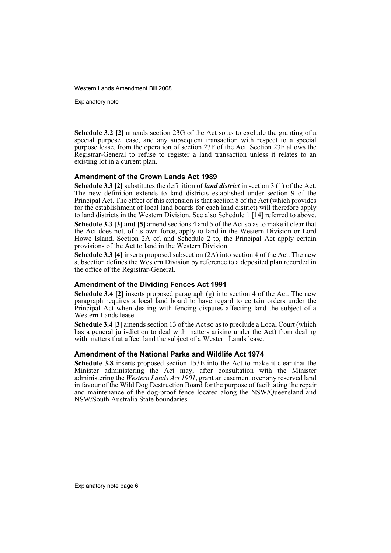Explanatory note

**Schedule 3.2 [2]** amends section 23G of the Act so as to exclude the granting of a special purpose lease, and any subsequent transaction with respect to a special purpose lease, from the operation of section 23F of the Act. Section 23F allows the Registrar-General to refuse to register a land transaction unless it relates to an existing lot in a current plan.

#### **Amendment of the Crown Lands Act 1989**

**Schedule 3.3 [2]** substitutes the definition of *land district* in section 3 (1) of the Act. The new definition extends to land districts established under section 9 of the Principal Act. The effect of this extension is that section 8 of the Act (which provides for the establishment of local land boards for each land district) will therefore apply to land districts in the Western Division. See also Schedule 1 [14] referred to above.

**Schedule 3.3 [3] and [5]** amend sections 4 and 5 of the Act so as to make it clear that the Act does not, of its own force, apply to land in the Western Division or Lord Howe Island. Section 2A of, and Schedule 2 to, the Principal Act apply certain provisions of the Act to land in the Western Division.

**Schedule 3.3 [4]** inserts proposed subsection (2A) into section 4 of the Act. The new subsection defines the Western Division by reference to a deposited plan recorded in the office of the Registrar-General.

#### **Amendment of the Dividing Fences Act 1991**

**Schedule 3.4 [2]** inserts proposed paragraph (g) into section 4 of the Act. The new paragraph requires a local land board to have regard to certain orders under the Principal Act when dealing with fencing disputes affecting land the subject of a Western Lands lease.

**Schedule 3.4 [3]** amends section 13 of the Act so as to preclude a Local Court (which has a general jurisdiction to deal with matters arising under the Act) from dealing with matters that affect land the subject of a Western Lands lease.

#### **Amendment of the National Parks and Wildlife Act 1974**

**Schedule 3.8** inserts proposed section 153E into the Act to make it clear that the Minister administering the Act may, after consultation with the Minister administering the *Western Lands Act 1901*, grant an easement over any reserved land in favour of the Wild Dog Destruction Board for the purpose of facilitating the repair and maintenance of the dog-proof fence located along the NSW/Queensland and NSW/South Australia State boundaries.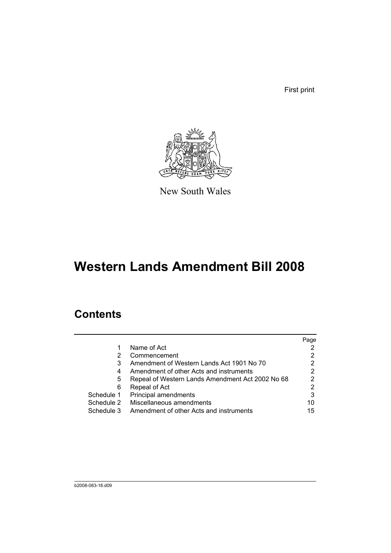First print



New South Wales

# **Western Lands Amendment Bill 2008**

## **Contents**

|            |                                                  | Page |
|------------|--------------------------------------------------|------|
| 1          | Name of Act                                      |      |
| 2          | Commencement                                     |      |
| 3          | Amendment of Western Lands Act 1901 No 70        | 2    |
| 4          | Amendment of other Acts and instruments          | 2    |
| 5          | Repeal of Western Lands Amendment Act 2002 No 68 | 2    |
| 6          | Repeal of Act                                    | 2    |
| Schedule 1 | Principal amendments                             | 3    |
| Schedule 2 | Miscellaneous amendments                         | 10   |
| Schedule 3 | Amendment of other Acts and instruments          | 15   |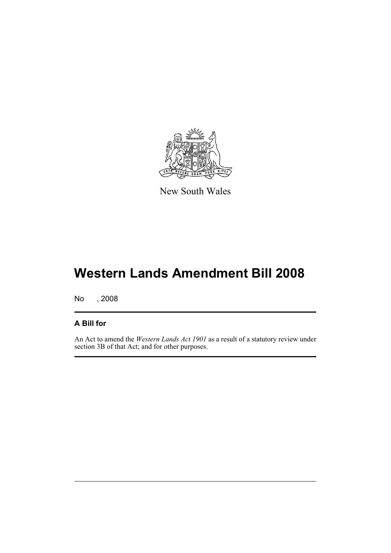

New South Wales

## **Western Lands Amendment Bill 2008**

No , 2008

### **A Bill for**

An Act to amend the *Western Lands Act 1901* as a result of a statutory review under section 3B of that Act; and for other purposes.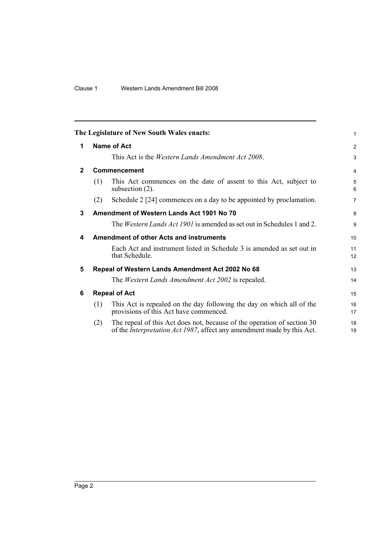<span id="page-9-5"></span><span id="page-9-4"></span><span id="page-9-3"></span><span id="page-9-2"></span><span id="page-9-1"></span><span id="page-9-0"></span>

|              |                    | The Legislature of New South Wales enacts:                                                                                                                | 1              |  |  |
|--------------|--------------------|-----------------------------------------------------------------------------------------------------------------------------------------------------------|----------------|--|--|
| 1            | <b>Name of Act</b> |                                                                                                                                                           |                |  |  |
|              |                    | This Act is the <i>Western Lands Amendment Act 2008</i> .                                                                                                 | 3              |  |  |
| $\mathbf{2}$ |                    | Commencement                                                                                                                                              | $\overline{4}$ |  |  |
|              | (1)                | This Act commences on the date of assent to this Act, subject to<br>subsection $(2)$ .                                                                    | 5<br>6         |  |  |
|              | (2)                | Schedule 2 [24] commences on a day to be appointed by proclamation.                                                                                       | $\overline{7}$ |  |  |
| 3            |                    | Amendment of Western Lands Act 1901 No 70                                                                                                                 | 8              |  |  |
|              |                    | The <i>Western Lands Act 1901</i> is amended as set out in Schedules 1 and 2.                                                                             | 9              |  |  |
| 4            |                    | <b>Amendment of other Acts and instruments</b>                                                                                                            | 10             |  |  |
|              |                    | Each Act and instrument listed in Schedule 3 is amended as set out in<br>that Schedule.                                                                   | 11<br>12       |  |  |
| 5            |                    | Repeal of Western Lands Amendment Act 2002 No 68                                                                                                          | 13             |  |  |
|              |                    | The Western Lands Amendment Act 2002 is repealed.                                                                                                         | 14             |  |  |
| 6            |                    | <b>Repeal of Act</b>                                                                                                                                      |                |  |  |
|              | (1)                | This Act is repealed on the day following the day on which all of the<br>provisions of this Act have commenced.                                           | 16<br>17       |  |  |
|              | (2)                | The repeal of this Act does not, because of the operation of section 30<br>of the <i>Interpretation Act 1987</i> , affect any amendment made by this Act. | 18<br>19       |  |  |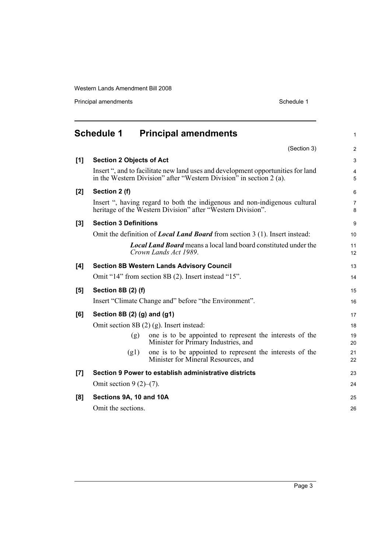Principal amendments **Schedule 1** Schedule 1

<span id="page-10-0"></span>

|       | <b>Schedule 1</b>                 | <b>Principal amendments</b>                                                                                                                             | $\mathbf{1}$        |
|-------|-----------------------------------|---------------------------------------------------------------------------------------------------------------------------------------------------------|---------------------|
|       |                                   | (Section 3)                                                                                                                                             | $\overline{2}$      |
| [1]   | <b>Section 2 Objects of Act</b>   |                                                                                                                                                         | 3                   |
|       |                                   | Insert ", and to facilitate new land uses and development opportunities for land<br>in the Western Division" after "Western Division" in section 2 (a). | $\overline{4}$<br>5 |
| [2]   | Section 2 (f)                     |                                                                                                                                                         | 6                   |
|       |                                   | Insert ", having regard to both the indigenous and non-indigenous cultural<br>heritage of the Western Division" after "Western Division".               | $\overline{7}$<br>8 |
| $[3]$ | <b>Section 3 Definitions</b>      |                                                                                                                                                         | 9                   |
|       |                                   | Omit the definition of <i>Local Land Board</i> from section 3 (1). Insert instead:                                                                      | 10                  |
|       |                                   | <b>Local Land Board</b> means a local land board constituted under the<br>Crown Lands Act 1989.                                                         | 11<br>12            |
| [4]   |                                   | <b>Section 8B Western Lands Advisory Council</b>                                                                                                        | 13                  |
|       |                                   | Omit "14" from section 8B (2). Insert instead "15".                                                                                                     | 14                  |
| [5]   | <b>Section 8B (2) (f)</b>         |                                                                                                                                                         | 15                  |
|       |                                   | Insert "Climate Change and" before "the Environment".                                                                                                   | 16                  |
| [6]   | Section 8B $(2)$ $(g)$ and $(g1)$ |                                                                                                                                                         | 17                  |
|       |                                   | Omit section $8B(2)(g)$ . Insert instead:                                                                                                               | 18                  |
|       | (g)                               | one is to be appointed to represent the interests of the<br>Minister for Primary Industries, and                                                        | 19<br>20            |
|       | (g1)                              | one is to be appointed to represent the interests of the<br>Minister for Mineral Resources, and                                                         | 21<br>22            |
| [7]   |                                   | Section 9 Power to establish administrative districts                                                                                                   | 23                  |
|       | Omit section $9(2)-(7)$ .         |                                                                                                                                                         | 24                  |
| [8]   | Sections 9A, 10 and 10A           |                                                                                                                                                         | 25                  |
|       | Omit the sections.                |                                                                                                                                                         | 26                  |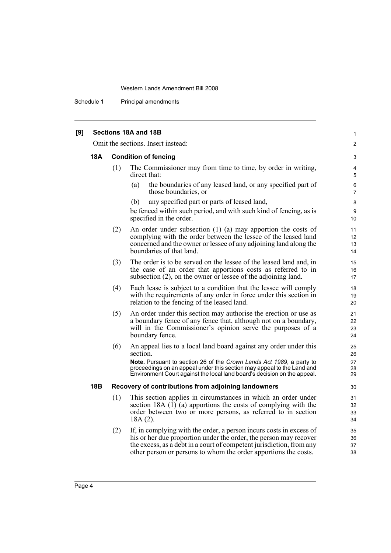Schedule 1 Principal amendments

#### **[9] Sections 18A and 18B**

Omit the sections. Insert instead:

#### **18A Condition of fencing**

- (1) The Commissioner may from time to time, by order in writing, direct that:
	- (a) the boundaries of any leased land, or any specified part of those boundaries, or

1  $\mathfrak{p}$ 

(b) any specified part or parts of leased land,

be fenced within such period, and with such kind of fencing, as is specified in the order.

- (2) An order under subsection (1) (a) may apportion the costs of complying with the order between the lessee of the leased land concerned and the owner or lessee of any adjoining land along the boundaries of that land.
- (3) The order is to be served on the lessee of the leased land and, in the case of an order that apportions costs as referred to in subsection (2), on the owner or lessee of the adjoining land.
- (4) Each lease is subject to a condition that the lessee will comply with the requirements of any order in force under this section in relation to the fencing of the leased land.
- (5) An order under this section may authorise the erection or use as a boundary fence of any fence that, although not on a boundary, will in the Commissioner's opinion serve the purposes of a boundary fence.
- (6) An appeal lies to a local land board against any order under this section.

**Note.** Pursuant to section 26 of the *Crown Lands Act 1989*, a party to proceedings on an appeal under this section may appeal to the Land and Environment Court against the local land board's decision on the appeal.

#### **18B Recovery of contributions from adjoining landowners**

- (1) This section applies in circumstances in which an order under section 18A  $(\hat{I})$  (a) apportions the costs of complying with the order between two or more persons, as referred to in section 18A (2).
- (2) If, in complying with the order, a person incurs costs in excess of his or her due proportion under the order, the person may recover the excess, as a debt in a court of competent jurisdiction, from any other person or persons to whom the order apportions the costs.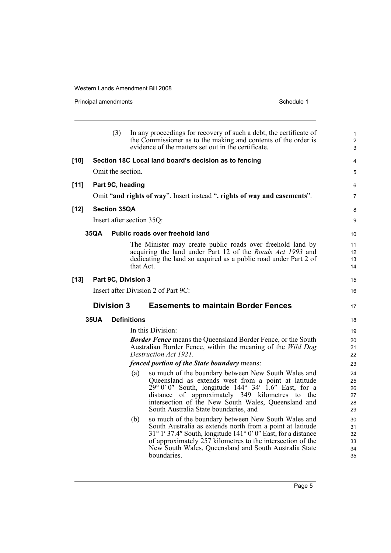Principal amendments **Schedule 1** Schedule 1

|        |                                                       | (3)                 |                                 | In any proceedings for recovery of such a debt, the certificate of<br>the Commissioner as to the making and contents of the order is<br>evidence of the matters set out in the certificate.                                                                                                                                    | 1<br>$\overline{2}$<br>3         |  |
|--------|-------------------------------------------------------|---------------------|---------------------------------|--------------------------------------------------------------------------------------------------------------------------------------------------------------------------------------------------------------------------------------------------------------------------------------------------------------------------------|----------------------------------|--|
| [10]   | Section 18C Local land board's decision as to fencing |                     |                                 |                                                                                                                                                                                                                                                                                                                                |                                  |  |
|        |                                                       | Omit the section.   |                                 |                                                                                                                                                                                                                                                                                                                                | 5                                |  |
| $[11]$ |                                                       | Part 9C, heading    |                                 |                                                                                                                                                                                                                                                                                                                                | 6                                |  |
|        |                                                       |                     |                                 | Omit "and rights of way". Insert instead ", rights of way and easements".                                                                                                                                                                                                                                                      | 7                                |  |
| [12]   |                                                       | <b>Section 35QA</b> |                                 |                                                                                                                                                                                                                                                                                                                                | 8                                |  |
|        |                                                       |                     | Insert after section 35Q:       |                                                                                                                                                                                                                                                                                                                                | 9                                |  |
|        | 35QA                                                  |                     | Public roads over freehold land |                                                                                                                                                                                                                                                                                                                                | 10                               |  |
|        |                                                       |                     | that Act.                       | The Minister may create public roads over freehold land by<br>acquiring the land under Part 12 of the <i>Roads Act 1993</i> and<br>dedicating the land so acquired as a public road under Part 2 of                                                                                                                            | 11<br>12<br>13<br>14             |  |
| $[13]$ |                                                       |                     | Part 9C, Division 3             |                                                                                                                                                                                                                                                                                                                                | 15                               |  |
|        | Insert after Division 2 of Part 9C:                   |                     |                                 |                                                                                                                                                                                                                                                                                                                                | 16                               |  |
|        |                                                       | <b>Division 3</b>   |                                 | <b>Easements to maintain Border Fences</b>                                                                                                                                                                                                                                                                                     | 17                               |  |
|        | <b>35UA</b>                                           | <b>Definitions</b>  |                                 |                                                                                                                                                                                                                                                                                                                                |                                  |  |
|        |                                                       |                     | In this Division:               |                                                                                                                                                                                                                                                                                                                                | 18                               |  |
|        |                                                       |                     | Destruction Act 1921.           | <b>Border Fence</b> means the Queensland Border Fence, or the South<br>Australian Border Fence, within the meaning of the Wild Dog                                                                                                                                                                                             | 19<br>20<br>21<br>22             |  |
|        |                                                       |                     |                                 | <i>fenced portion of the State boundary means:</i>                                                                                                                                                                                                                                                                             | 23                               |  |
|        |                                                       |                     | (a)                             | so much of the boundary between New South Wales and<br>Queensland as extends west from a point at latitude<br>$29^{\circ}$ 0' 0" South, longitude 144° 34' 1.6" East, for a<br>distance of approximately 349 kilometres to the<br>intersection of the New South Wales, Queensland and<br>South Australia State boundaries, and | 24<br>25<br>26<br>27<br>28<br>29 |  |
|        |                                                       |                     | (b)<br>boundaries.              | so much of the boundary between New South Wales and<br>South Australia as extends north from a point at latitude<br>$31^{\circ}$ 1' 37.4" South, longitude $141^{\circ}$ 0' 0" East, for a distance<br>of approximately 257 kilometres to the intersection of the<br>New South Wales, Queensland and South Australia State     | 30<br>31<br>32<br>33<br>34<br>35 |  |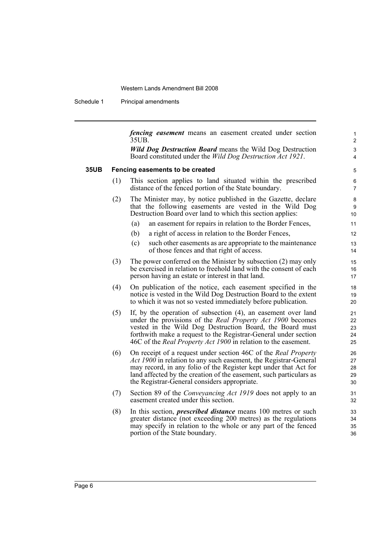Schedule 1 Principal amendments

*fencing easement* means an easement created under section 35UB.

*Wild Dog Destruction Board* means the Wild Dog Destruction Board constituted under the *Wild Dog Destruction Act 1921*.

#### **35UB Fencing easements to be created**

- (1) This section applies to land situated within the prescribed distance of the fenced portion of the State boundary. (2) The Minister may, by notice published in the Gazette, declare
	- that the following easements are vested in the Wild Dog Destruction Board over land to which this section applies:
		- (a) an easement for repairs in relation to the Border Fences,
		- (b) a right of access in relation to the Border Fences,
		- (c) such other easements as are appropriate to the maintenance of those fences and that right of access.
- (3) The power conferred on the Minister by subsection (2) may only be exercised in relation to freehold land with the consent of each person having an estate or interest in that land.
- (4) On publication of the notice, each easement specified in the notice is vested in the Wild Dog Destruction Board to the extent to which it was not so vested immediately before publication.
- (5) If, by the operation of subsection (4), an easement over land under the provisions of the *Real Property Act 1900* becomes vested in the Wild Dog Destruction Board, the Board must forthwith make a request to the Registrar-General under section 46C of the *Real Property Act 1900* in relation to the easement.
- (6) On receipt of a request under section 46C of the *Real Property Act 1900* in relation to any such easement, the Registrar-General may record, in any folio of the Register kept under that Act for land affected by the creation of the easement, such particulars as the Registrar-General considers appropriate.
- (7) Section 89 of the *Conveyancing Act 1919* does not apply to an easement created under this section.
- (8) In this section, *prescribed distance* means 100 metres or such greater distance (not exceeding 200 metres) as the regulations may specify in relation to the whole or any part of the fenced portion of the State boundary.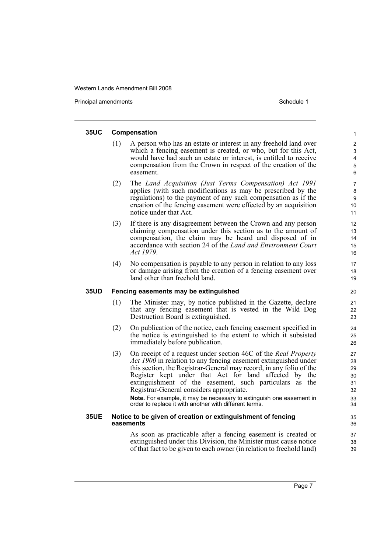Principal amendments **Schedule 1** and the set of the set of the Schedule 1 and the Schedule 1

#### **35UC Compensation** (1) A person who has an estate or interest in any freehold land over which a fencing easement is created, or who, but for this Act, would have had such an estate or interest, is entitled to receive compensation from the Crown in respect of the creation of the easement. (2) The *Land Acquisition (Just Terms Compensation) Act 1991* applies (with such modifications as may be prescribed by the regulations) to the payment of any such compensation as if the creation of the fencing easement were effected by an acquisition notice under that Act. (3) If there is any disagreement between the Crown and any person claiming compensation under this section as to the amount of compensation, the claim may be heard and disposed of in accordance with section 24 of the *Land and Environment Court Act 1979*. (4) No compensation is payable to any person in relation to any loss or damage arising from the creation of a fencing easement over land other than freehold land. **35UD Fencing easements may be extinguished** (1) The Minister may, by notice published in the Gazette, declare that any fencing easement that is vested in the Wild Dog Destruction Board is extinguished. (2) On publication of the notice, each fencing easement specified in the notice is extinguished to the extent to which it subsisted immediately before publication. (3) On receipt of a request under section 46C of the *Real Property Act 1900* in relation to any fencing easement extinguished under this section, the Registrar-General may record, in any folio of the Register kept under that Act for land affected by the extinguishment of the easement, such particulars as the Registrar-General considers appropriate. **Note.** For example, it may be necessary to extinguish one easement in order to replace it with another with different terms. **35UE Notice to be given of creation or extinguishment of fencing easements** As soon as practicable after a fencing easement is created or extinguished under this Division, the Minister must cause notice of that fact to be given to each owner (in relation to freehold land) 1 2 3 4 5 6 7 8 9  $10$ 11 12 13 14 15 16 17 18 19 20 21 22 23 24 25 26 27 28 29 30 31 32 33 34 35 36 37 38 39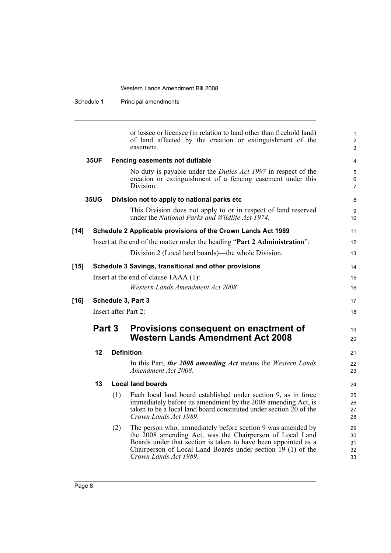Schedule 1 Principal amendments

|      |               |     | or lessee or licensee (in relation to land other than freehold land)<br>of land affected by the creation or extinguishment of the<br>easement.                                                                                                                                     |
|------|---------------|-----|------------------------------------------------------------------------------------------------------------------------------------------------------------------------------------------------------------------------------------------------------------------------------------|
|      | <b>35UF</b>   |     | Fencing easements not dutiable                                                                                                                                                                                                                                                     |
|      |               |     | No duty is payable under the <i>Duties Act 1997</i> in respect of the<br>creation or extinguishment of a fencing easement under this<br>Division.                                                                                                                                  |
|      | <b>35UG</b>   |     | Division not to apply to national parks etc                                                                                                                                                                                                                                        |
|      |               |     | This Division does not apply to or in respect of land reserved<br>under the National Parks and Wildlife Act 1974.                                                                                                                                                                  |
| [14] |               |     | Schedule 2 Applicable provisions of the Crown Lands Act 1989                                                                                                                                                                                                                       |
|      |               |     | Insert at the end of the matter under the heading "Part 2 Administration":                                                                                                                                                                                                         |
|      |               |     | Division 2 (Local land boards)—the whole Division.                                                                                                                                                                                                                                 |
| [15] |               |     | Schedule 3 Savings, transitional and other provisions                                                                                                                                                                                                                              |
|      |               |     | Insert at the end of clause 1AAA (1):                                                                                                                                                                                                                                              |
|      |               |     | <b>Western Lands Amendment Act 2008</b>                                                                                                                                                                                                                                            |
| [16] |               |     | Schedule 3, Part 3                                                                                                                                                                                                                                                                 |
|      |               |     | Insert after Part 2:                                                                                                                                                                                                                                                               |
|      | <b>Part 3</b> |     | Provisions consequent on enactment of<br><b>Western Lands Amendment Act 2008</b>                                                                                                                                                                                                   |
|      | 12            |     | <b>Definition</b>                                                                                                                                                                                                                                                                  |
|      |               |     | In this Part, the 2008 amending Act means the Western Lands<br>Amendment Act 2008.                                                                                                                                                                                                 |
|      | 13            |     | <b>Local land boards</b>                                                                                                                                                                                                                                                           |
|      |               | (1) | Each local land board established under section 9, as in force<br>immediately before its amendment by the 2008 amending Act, is<br>taken to be a local land board constituted under section 20 of the<br>Crown Lands Act 1989.                                                     |
|      |               | (2) | The person who, immediately before section 9 was amended by<br>the 2008 amending Act, was the Chairperson of Local Land<br>Boards under that section is taken to have been appointed as a<br>Chairperson of Local Land Boards under section 19 (1) of the<br>Crown Lands Act 1989. |
|      |               |     |                                                                                                                                                                                                                                                                                    |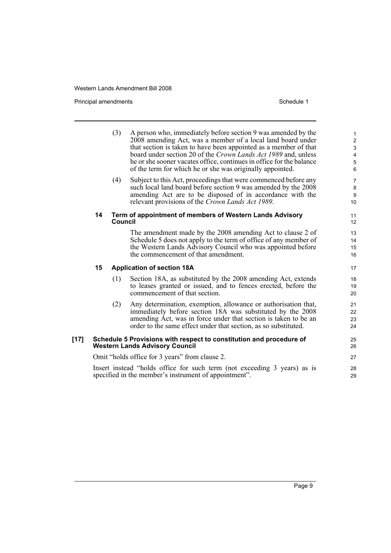Principal amendments **Schedule 1** Schedule 1

|        |                                                                                                                                   | (3)     | A person who, immediately before section 9 was amended by the<br>2008 amending Act, was a member of a local land board under<br>that section is taken to have been appointed as a member of that<br>board under section 20 of the Crown Lands Act 1989 and, unless<br>he or she sooner vacates office, continues in office for the balance<br>of the term for which he or she was originally appointed. | $\mathbf{1}$<br>$\overline{2}$<br>3<br>4<br>$\sqrt{5}$<br>6 |
|--------|-----------------------------------------------------------------------------------------------------------------------------------|---------|---------------------------------------------------------------------------------------------------------------------------------------------------------------------------------------------------------------------------------------------------------------------------------------------------------------------------------------------------------------------------------------------------------|-------------------------------------------------------------|
|        |                                                                                                                                   | (4)     | Subject to this Act, proceedings that were commenced before any<br>such local land board before section 9 was amended by the 2008<br>amending Act are to be disposed of in accordance with the<br>relevant provisions of the Crown Lands Act 1989.                                                                                                                                                      | $\overline{7}$<br>$\bf 8$<br>9<br>10 <sup>°</sup>           |
|        | 14                                                                                                                                | Council | Term of appointment of members of Western Lands Advisory                                                                                                                                                                                                                                                                                                                                                | 11<br>12 <sup>2</sup>                                       |
|        |                                                                                                                                   |         | The amendment made by the 2008 amending Act to clause 2 of<br>Schedule 5 does not apply to the term of office of any member of<br>the Western Lands Advisory Council who was appointed before<br>the commencement of that amendment.                                                                                                                                                                    | 13<br>14<br>15<br>16                                        |
|        | 15                                                                                                                                |         | <b>Application of section 18A</b>                                                                                                                                                                                                                                                                                                                                                                       | 17                                                          |
|        |                                                                                                                                   | (1)     | Section 18A, as substituted by the 2008 amending Act, extends<br>to leases granted or issued, and to fences erected, before the<br>commencement of that section.                                                                                                                                                                                                                                        | 18<br>19<br>20                                              |
|        |                                                                                                                                   | (2)     | Any determination, exemption, allowance or authorisation that,<br>immediately before section 18A was substituted by the 2008<br>amending Act, was in force under that section is taken to be an<br>order to the same effect under that section, as so substituted.                                                                                                                                      | 21<br>22<br>23<br>24                                        |
| $[17]$ |                                                                                                                                   |         | Schedule 5 Provisions with respect to constitution and procedure of<br><b>Western Lands Advisory Council</b>                                                                                                                                                                                                                                                                                            | 25<br>26                                                    |
|        |                                                                                                                                   |         | Omit "holds office for 3 years" from clause 2.                                                                                                                                                                                                                                                                                                                                                          | 27                                                          |
|        | Insert instead "holds office for such term (not exceeding 3 years) as is<br>specified in the member's instrument of appointment". |         |                                                                                                                                                                                                                                                                                                                                                                                                         |                                                             |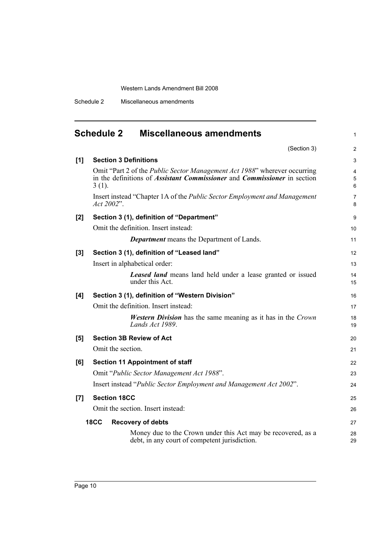Schedule 2 Miscellaneous amendments

<span id="page-17-0"></span>

|       | <b>Miscellaneous amendments</b><br><b>Schedule 2</b>                                                                                                                                    | 1           |
|-------|-----------------------------------------------------------------------------------------------------------------------------------------------------------------------------------------|-------------|
|       | (Section 3)                                                                                                                                                                             | 2           |
| [1]   | <b>Section 3 Definitions</b>                                                                                                                                                            | 3           |
|       | Omit "Part 2 of the <i>Public Sector Management Act 1988</i> " wherever occurring<br>in the definitions of <i>Assistant Commissioner</i> and <i>Commissioner</i> in section<br>$3(1)$ . | 4<br>5<br>6 |
|       | Insert instead "Chapter 1A of the Public Sector Employment and Management<br>Act 2002".                                                                                                 | 7<br>8      |
| $[2]$ | Section 3 (1), definition of "Department"                                                                                                                                               | 9           |
|       | Omit the definition. Insert instead:                                                                                                                                                    | 10          |
|       | <b>Department</b> means the Department of Lands.                                                                                                                                        | 11          |
| $[3]$ | Section 3 (1), definition of "Leased land"                                                                                                                                              | 12          |
|       | Insert in alphabetical order:                                                                                                                                                           | 13          |
|       | <b>Leased land</b> means land held under a lease granted or issued<br>under this Act.                                                                                                   | 14<br>15    |
| [4]   | Section 3 (1), definition of "Western Division"                                                                                                                                         | 16          |
|       | Omit the definition. Insert instead:                                                                                                                                                    | 17          |
|       | <b>Western Division</b> has the same meaning as it has in the Crown<br>Lands Act 1989.                                                                                                  | 18<br>19    |
| [5]   | <b>Section 3B Review of Act</b>                                                                                                                                                         | 20          |
|       | Omit the section.                                                                                                                                                                       | 21          |
| [6]   | <b>Section 11 Appointment of staff</b>                                                                                                                                                  | 22          |
|       | Omit "Public Sector Management Act 1988".                                                                                                                                               | 23          |
|       | Insert instead "Public Sector Employment and Management Act 2002".                                                                                                                      | 24          |
| [7]   | <b>Section 18CC</b>                                                                                                                                                                     | 25          |
|       | Omit the section. Insert instead:                                                                                                                                                       | 26          |
|       | <b>18CC</b><br><b>Recovery of debts</b>                                                                                                                                                 | 27          |
|       | Money due to the Crown under this Act may be recovered, as a<br>debt, in any court of competent jurisdiction.                                                                           | 28<br>29    |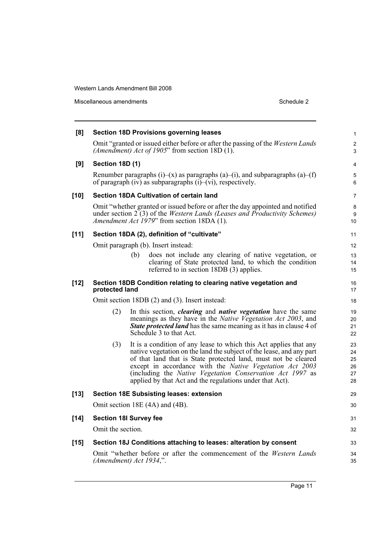Miscellaneous amendments **Schedule 2** Schedule 2

| [8]    | <b>Section 18D Provisions governing leases</b>                                                                                       |                                                                                                                                                                                                                                                                                                                                                                                                  |                                  |  |  |  |
|--------|--------------------------------------------------------------------------------------------------------------------------------------|--------------------------------------------------------------------------------------------------------------------------------------------------------------------------------------------------------------------------------------------------------------------------------------------------------------------------------------------------------------------------------------------------|----------------------------------|--|--|--|
|        | Omit "granted or issued either before or after the passing of the Western Lands<br>(Amendment) Act of 1905" from section 18D $(1)$ . |                                                                                                                                                                                                                                                                                                                                                                                                  |                                  |  |  |  |
| [9]    | <b>Section 18D (1)</b>                                                                                                               |                                                                                                                                                                                                                                                                                                                                                                                                  |                                  |  |  |  |
|        |                                                                                                                                      | Renumber paragraphs (i)–(x) as paragraphs (a)–(i), and subparagraphs (a)–(f)<br>of paragraph (iv) as subparagraphs $(i)$ — $(vi)$ , respectively.                                                                                                                                                                                                                                                | 5<br>6                           |  |  |  |
| $[10]$ |                                                                                                                                      | <b>Section 18DA Cultivation of certain land</b>                                                                                                                                                                                                                                                                                                                                                  | $\overline{7}$                   |  |  |  |
|        |                                                                                                                                      | Omit "whether granted or issued before or after the day appointed and notified<br>under section $2(3)$ of the <i>Western Lands (Leases and Productivity Schemes)</i><br>Amendment Act 1979" from section 18DA (1).                                                                                                                                                                               | 8<br>9<br>10                     |  |  |  |
| $[11]$ |                                                                                                                                      | Section 18DA (2), definition of "cultivate"                                                                                                                                                                                                                                                                                                                                                      | 11                               |  |  |  |
|        |                                                                                                                                      | Omit paragraph (b). Insert instead:                                                                                                                                                                                                                                                                                                                                                              | 12                               |  |  |  |
|        |                                                                                                                                      | does not include any clearing of native vegetation, or<br>(b)<br>clearing of State protected land, to which the condition<br>referred to in section 18DB (3) applies.                                                                                                                                                                                                                            | 13<br>14<br>15                   |  |  |  |
| $[12]$ | protected land                                                                                                                       | Section 18DB Condition relating to clearing native vegetation and                                                                                                                                                                                                                                                                                                                                | 16<br>17                         |  |  |  |
|        |                                                                                                                                      | Omit section 18DB (2) and (3). Insert instead:                                                                                                                                                                                                                                                                                                                                                   | 18                               |  |  |  |
|        | (2)                                                                                                                                  | In this section, <i>clearing</i> and <i>native vegetation</i> have the same<br>meanings as they have in the <i>Native Vegetation Act 2003</i> , and<br><b>State protected land</b> has the same meaning as it has in clause 4 of<br>Schedule 3 to that Act.                                                                                                                                      | 19<br>20<br>21<br>22             |  |  |  |
|        | (3)                                                                                                                                  | It is a condition of any lease to which this Act applies that any<br>native vegetation on the land the subject of the lease, and any part<br>of that land that is State protected land, must not be cleared<br>except in accordance with the Native Vegetation Act 2003<br>(including the Native Vegetation Conservation Act 1997 as<br>applied by that Act and the regulations under that Act). | 23<br>24<br>25<br>26<br>27<br>28 |  |  |  |
| $[13]$ |                                                                                                                                      | <b>Section 18E Subsisting leases: extension</b>                                                                                                                                                                                                                                                                                                                                                  | 29                               |  |  |  |
|        |                                                                                                                                      | Omit section 18E (4A) and (4B).                                                                                                                                                                                                                                                                                                                                                                  | 30                               |  |  |  |
| $[14]$ |                                                                                                                                      | <b>Section 18I Survey fee</b>                                                                                                                                                                                                                                                                                                                                                                    | 31                               |  |  |  |
|        | Omit the section.                                                                                                                    |                                                                                                                                                                                                                                                                                                                                                                                                  | 32                               |  |  |  |
| $[15]$ |                                                                                                                                      | Section 18J Conditions attaching to leases: alteration by consent                                                                                                                                                                                                                                                                                                                                | 33                               |  |  |  |
|        |                                                                                                                                      | Omit "whether before or after the commencement of the Western Lands<br>(Amendment) Act 1934,".                                                                                                                                                                                                                                                                                                   | 34<br>35                         |  |  |  |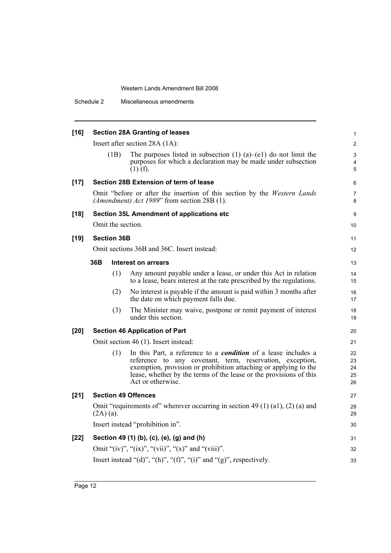Schedule 2 Miscellaneous amendments

| $[16]$ |                                      |                    | <b>Section 28A Granting of leases</b>                                                                                                                                                                                                                                                            | $\mathbf{1}$                      |
|--------|--------------------------------------|--------------------|--------------------------------------------------------------------------------------------------------------------------------------------------------------------------------------------------------------------------------------------------------------------------------------------------|-----------------------------------|
|        |                                      |                    | Insert after section $28A(1A)$ :                                                                                                                                                                                                                                                                 | 2                                 |
|        |                                      | (1B)               | The purposes listed in subsection $(1)$ $(a)$ – $(e1)$ do not limit the<br>purposes for which a declaration may be made under subsection<br>$(1)$ (f).                                                                                                                                           | 3<br>$\overline{\mathbf{4}}$<br>5 |
| $[17]$ |                                      |                    | Section 28B Extension of term of lease                                                                                                                                                                                                                                                           | 6                                 |
|        |                                      |                    | Omit "before or after the insertion of this section by the Western Lands<br>(Amendment) Act 1989" from section 28B (1).                                                                                                                                                                          | $\overline{7}$<br>8               |
| $[18]$ |                                      |                    | Section 35L Amendment of applications etc                                                                                                                                                                                                                                                        | 9                                 |
|        |                                      |                    | Omit the section.                                                                                                                                                                                                                                                                                | 10                                |
| $[19]$ |                                      | <b>Section 36B</b> |                                                                                                                                                                                                                                                                                                  | 11                                |
|        |                                      |                    | Omit sections 36B and 36C. Insert instead:                                                                                                                                                                                                                                                       | 12                                |
|        | 36B                                  |                    | Interest on arrears                                                                                                                                                                                                                                                                              | 13                                |
|        |                                      | (1)                | Any amount payable under a lease, or under this Act in relation<br>to a lease, bears interest at the rate prescribed by the regulations.                                                                                                                                                         | 14<br>15                          |
|        |                                      | (2)                | No interest is payable if the amount is paid within 3 months after<br>the date on which payment falls due.                                                                                                                                                                                       | 16<br>17                          |
|        |                                      | (3)                | The Minister may waive, postpone or remit payment of interest<br>under this section.                                                                                                                                                                                                             | 18<br>19                          |
| [20]   |                                      |                    | <b>Section 46 Application of Part</b>                                                                                                                                                                                                                                                            | 20                                |
|        | Omit section 46 (1). Insert instead: |                    |                                                                                                                                                                                                                                                                                                  |                                   |
|        |                                      | (1)                | In this Part, a reference to a <i>condition</i> of a lease includes a<br>reference to any covenant, term, reservation, exception,<br>exemption, provision or prohibition attaching or applying to the<br>lease, whether by the terms of the lease or the provisions of this<br>Act or otherwise. | 22<br>23<br>24<br>25<br>26        |
| $[21]$ |                                      |                    | <b>Section 49 Offences</b>                                                                                                                                                                                                                                                                       | 27                                |
|        | $(2A)(a)$ .                          |                    | Omit "requirements of" wherever occurring in section 49 (1) (a1), (2) (a) and                                                                                                                                                                                                                    | 28<br>29                          |
|        |                                      |                    | Insert instead "prohibition in".                                                                                                                                                                                                                                                                 | 30                                |
| $[22]$ |                                      |                    | Section 49 (1) (b), (c), (e), (g) and (h)                                                                                                                                                                                                                                                        | 31                                |
|        |                                      |                    | Omit "(iv)", "(ix)", "(vii)", "(x)" and "(viii)".                                                                                                                                                                                                                                                | 32                                |
|        |                                      |                    | Insert instead "(d)", "(h)", "(f)", "(i)" and "(g)", respectively.                                                                                                                                                                                                                               | 33                                |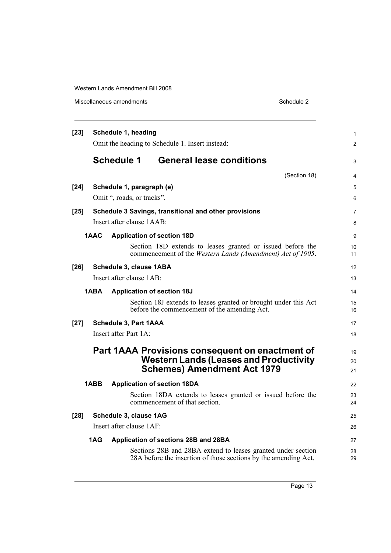Miscellaneous amendments and the state of the Schedule 2 Schedule 2

| $[23]$ |      | Schedule 1, heading<br>Omit the heading to Schedule 1. Insert instead: |                                                                                                                                        |                |  |  |
|--------|------|------------------------------------------------------------------------|----------------------------------------------------------------------------------------------------------------------------------------|----------------|--|--|
|        |      | <b>Schedule 1</b>                                                      | <b>General lease conditions</b>                                                                                                        | 3              |  |  |
|        |      |                                                                        | (Section 18)                                                                                                                           | 4              |  |  |
| $[24]$ |      | Schedule 1, paragraph (e)                                              |                                                                                                                                        | 5              |  |  |
|        |      | Omit ", roads, or tracks".                                             |                                                                                                                                        | 6              |  |  |
| $[25]$ |      |                                                                        | Schedule 3 Savings, transitional and other provisions                                                                                  | 7              |  |  |
|        |      | Insert after clause 1AAB:                                              |                                                                                                                                        | 8              |  |  |
|        | 1AAC | <b>Application of section 18D</b>                                      |                                                                                                                                        | 9              |  |  |
|        |      |                                                                        | Section 18D extends to leases granted or issued before the<br>commencement of the <i>Western Lands (Amendment) Act of 1905</i> .       | 10<br>11       |  |  |
| $[26]$ |      | Schedule 3, clause 1ABA                                                |                                                                                                                                        | 12             |  |  |
|        |      | Insert after clause 1AB:                                               |                                                                                                                                        | 13             |  |  |
|        | 1ABA | <b>Application of section 18J</b>                                      |                                                                                                                                        | 14             |  |  |
|        |      |                                                                        | Section 18J extends to leases granted or brought under this Act<br>before the commencement of the amending Act.                        | 15<br>16       |  |  |
| $[27]$ |      | <b>Schedule 3, Part 1AAA</b>                                           |                                                                                                                                        | 17             |  |  |
|        |      | Insert after Part 1A:                                                  |                                                                                                                                        | 18             |  |  |
|        |      |                                                                        | Part 1AAA Provisions consequent on enactment of<br><b>Western Lands (Leases and Productivity</b><br><b>Schemes) Amendment Act 1979</b> | 19<br>20<br>21 |  |  |
|        | 1ABB |                                                                        | <b>Application of section 18DA</b>                                                                                                     | 22             |  |  |
|        |      |                                                                        | Section 18DA extends to leases granted or issued before the<br>commencement of that section.                                           | 23<br>24       |  |  |
| [28]   |      | Schedule 3, clause 1AG                                                 |                                                                                                                                        | 25             |  |  |
|        |      | Insert after clause 1AF:                                               |                                                                                                                                        | 26             |  |  |
|        | 1AG  |                                                                        | Application of sections 28B and 28BA                                                                                                   | 27             |  |  |
|        |      |                                                                        | Sections 28B and 28BA extend to leases granted under section<br>28A before the insertion of those sections by the amending Act.        | 28<br>29       |  |  |
|        |      |                                                                        |                                                                                                                                        |                |  |  |

Page 13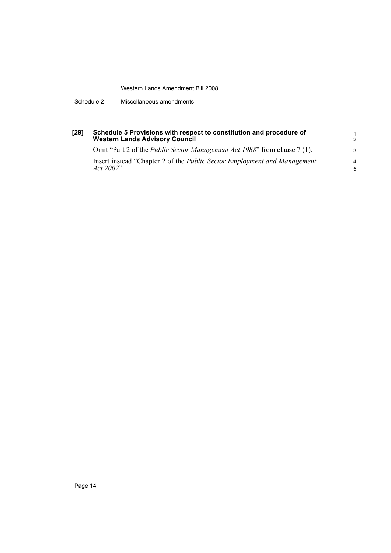| $[29]$ | Schedule 5 Provisions with respect to constitution and procedure of<br><b>Western Lands Advisory Council</b> |
|--------|--------------------------------------------------------------------------------------------------------------|
|        |                                                                                                              |

Omit "Part 2 of the *Public Sector Management Act 1988*" from clause 7 (1). Insert instead "Chapter 2 of the *Public Sector Employment and Management Act 2002*".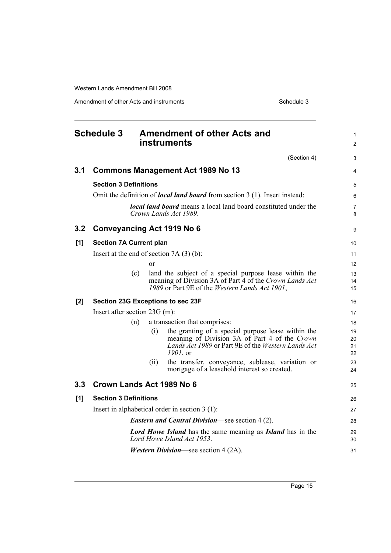Amendment of other Acts and instruments Schedule 3

<span id="page-22-0"></span>

|       | <b>Schedule 3</b>               | <b>Amendment of other Acts and</b><br><b>instruments</b> |                                                                                                                                                           | 1<br>$\overline{c}$  |
|-------|---------------------------------|----------------------------------------------------------|-----------------------------------------------------------------------------------------------------------------------------------------------------------|----------------------|
|       |                                 |                                                          | (Section 4)                                                                                                                                               | 3                    |
| 3.1   |                                 | <b>Commons Management Act 1989 No 13</b>                 |                                                                                                                                                           | 4                    |
|       | <b>Section 3 Definitions</b>    |                                                          |                                                                                                                                                           | 5                    |
|       |                                 |                                                          | Omit the definition of <i>local land board</i> from section 3 (1). Insert instead:                                                                        | 6                    |
|       |                                 | Crown Lands Act 1989.                                    | local land board means a local land board constituted under the                                                                                           | 7<br>8               |
| 3.2   |                                 | <b>Conveyancing Act 1919 No 6</b>                        |                                                                                                                                                           | 9                    |
| [1]   | <b>Section 7A Current plan</b>  |                                                          |                                                                                                                                                           | 10                   |
|       |                                 | Insert at the end of section $7A(3)(b)$ :                |                                                                                                                                                           | 11                   |
|       |                                 | <sub>or</sub>                                            |                                                                                                                                                           | 12                   |
|       | (c)                             | 1989 or Part 9E of the Western Lands Act 1901,           | land the subject of a special purpose lease within the<br>meaning of Division 3A of Part 4 of the Crown Lands Act                                         | 13<br>14<br>15       |
| $[2]$ |                                 | Section 23G Exceptions to sec 23F                        |                                                                                                                                                           | 16                   |
|       | Insert after section $23G$ (m): |                                                          |                                                                                                                                                           | 17                   |
|       | (n)                             | a transaction that comprises:                            |                                                                                                                                                           | 18                   |
|       |                                 | (i)<br>$1901$ , or                                       | the granting of a special purpose lease within the<br>meaning of Division 3A of Part 4 of the Crown<br>Lands Act 1989 or Part 9E of the Western Lands Act | 19<br>20<br>21<br>22 |
|       |                                 | (ii)                                                     | the transfer, conveyance, sublease, variation or<br>mortgage of a leasehold interest so created.                                                          | 23<br>24             |
| 3.3   |                                 | Crown Lands Act 1989 No 6                                |                                                                                                                                                           | 25                   |
| [1]   | <b>Section 3 Definitions</b>    |                                                          |                                                                                                                                                           | 26                   |
|       |                                 | Insert in alphabetical order in section $3(1)$ :         |                                                                                                                                                           | 27                   |
|       |                                 | <b>Eastern and Central Division</b> —see section 4 (2).  |                                                                                                                                                           | 28                   |
|       |                                 | Lord Howe Island Act 1953.                               | <b>Lord Howe Island</b> has the same meaning as <b>Island</b> has in the                                                                                  | 29<br>30             |
|       |                                 | <i>Western Division</i> —see section $4 (2A)$ .          |                                                                                                                                                           | 31                   |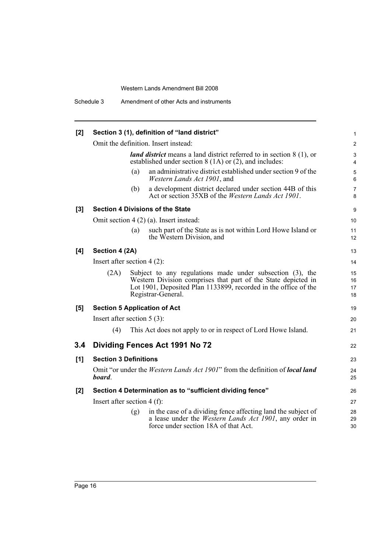| [2] |                                                                                                                                       |     | Section 3 (1), definition of "land district"                                                                                                                                                                        | $\mathbf{1}$                  |
|-----|---------------------------------------------------------------------------------------------------------------------------------------|-----|---------------------------------------------------------------------------------------------------------------------------------------------------------------------------------------------------------------------|-------------------------------|
|     |                                                                                                                                       |     | Omit the definition. Insert instead:                                                                                                                                                                                | $\overline{2}$                |
|     | <i>land district</i> means a land district referred to in section 8 (1), or<br>established under section 8 (1A) or (2), and includes: |     |                                                                                                                                                                                                                     | $\mathsf 3$<br>$\overline{4}$ |
|     |                                                                                                                                       | (a) | an administrative district established under section 9 of the<br>Western Lands Act 1901, and                                                                                                                        | 5<br>6                        |
|     |                                                                                                                                       | (b) | a development district declared under section 44B of this<br>Act or section 35XB of the Western Lands Act 1901.                                                                                                     | $\overline{7}$<br>8           |
| [3] |                                                                                                                                       |     | <b>Section 4 Divisions of the State</b>                                                                                                                                                                             | 9                             |
|     |                                                                                                                                       |     | Omit section $4(2)(a)$ . Insert instead:                                                                                                                                                                            | 10                            |
|     |                                                                                                                                       | (a) | such part of the State as is not within Lord Howe Island or<br>the Western Division, and                                                                                                                            | 11<br>12                      |
| [4] | Section 4 (2A)                                                                                                                        |     |                                                                                                                                                                                                                     | 13                            |
|     | Insert after section $4(2)$ :                                                                                                         |     |                                                                                                                                                                                                                     | 14                            |
|     | (2A)                                                                                                                                  |     | Subject to any regulations made under subsection (3), the<br>Western Division comprises that part of the State depicted in<br>Lot 1901, Deposited Plan 1133899, recorded in the office of the<br>Registrar-General. | 15<br>16<br>17<br>18          |
| [5] |                                                                                                                                       |     | <b>Section 5 Application of Act</b>                                                                                                                                                                                 | 19                            |
|     | Insert after section $5(3)$ :                                                                                                         |     |                                                                                                                                                                                                                     | 20                            |
|     | (4)                                                                                                                                   |     | This Act does not apply to or in respect of Lord Howe Island.                                                                                                                                                       | 21                            |
| 3.4 |                                                                                                                                       |     | Dividing Fences Act 1991 No 72                                                                                                                                                                                      | 22                            |
| [1] | <b>Section 3 Definitions</b>                                                                                                          |     |                                                                                                                                                                                                                     | 23                            |
|     | board.                                                                                                                                |     | Omit "or under the <i>Western Lands Act 1901</i> " from the definition of <i>local land</i>                                                                                                                         | 24<br>25                      |
| [2] |                                                                                                                                       |     | Section 4 Determination as to "sufficient dividing fence"                                                                                                                                                           | 26                            |
|     | Insert after section $4(f)$ :                                                                                                         |     |                                                                                                                                                                                                                     | 27                            |
|     |                                                                                                                                       | (g) | in the case of a dividing fence affecting land the subject of<br>a lease under the <i>Western Lands Act 1901</i> , any order in<br>force under section 18A of that Act.                                             | 28<br>29<br>30                |
|     |                                                                                                                                       |     |                                                                                                                                                                                                                     |                               |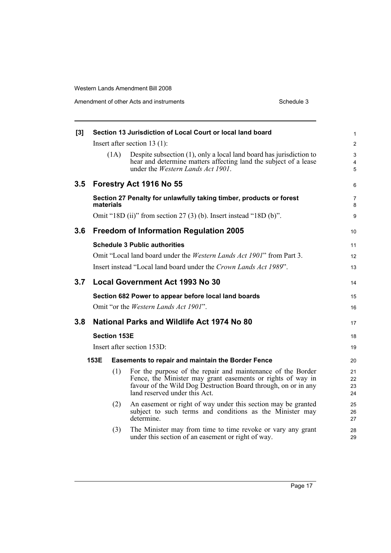| $[3]$ |                                                                       |      | Section 13 Jurisdiction of Local Court or local land board                                                                                                                                                                    | 1                    |
|-------|-----------------------------------------------------------------------|------|-------------------------------------------------------------------------------------------------------------------------------------------------------------------------------------------------------------------------------|----------------------|
|       |                                                                       |      | Insert after section 13 $(1)$ :                                                                                                                                                                                               | $\overline{c}$       |
|       |                                                                       | (1A) | Despite subsection (1), only a local land board has jurisdiction to<br>hear and determine matters affecting land the subject of a lease<br>under the Western Lands Act 1901.                                                  | 3<br>4<br>5          |
| 3.5   |                                                                       |      | Forestry Act 1916 No 55                                                                                                                                                                                                       | 6                    |
|       | materials                                                             |      | Section 27 Penalty for unlawfully taking timber, products or forest                                                                                                                                                           | 7<br>8               |
|       |                                                                       |      | Omit "18D (ii)" from section 27 (3) (b). Insert instead "18D (b)".                                                                                                                                                            | 9                    |
| 3.6   |                                                                       |      | <b>Freedom of Information Regulation 2005</b>                                                                                                                                                                                 | 10                   |
|       | <b>Schedule 3 Public authorities</b>                                  |      |                                                                                                                                                                                                                               | 11                   |
|       | Omit "Local land board under the Western Lands Act 1901" from Part 3. |      |                                                                                                                                                                                                                               | 12                   |
|       |                                                                       |      | Insert instead "Local land board under the Crown Lands Act 1989".                                                                                                                                                             | 13                   |
| 3.7   | Local Government Act 1993 No 30                                       |      |                                                                                                                                                                                                                               | 14                   |
|       |                                                                       |      | Section 682 Power to appear before local land boards                                                                                                                                                                          | 15                   |
|       | Omit "or the Western Lands Act 1901".                                 |      |                                                                                                                                                                                                                               | 16                   |
| 3.8   | National Parks and Wildlife Act 1974 No 80                            |      |                                                                                                                                                                                                                               | 17                   |
|       | <b>Section 153E</b>                                                   |      |                                                                                                                                                                                                                               | 18                   |
|       | Insert after section 153D:                                            |      |                                                                                                                                                                                                                               | 19                   |
|       | 153E                                                                  |      | <b>Easements to repair and maintain the Border Fence</b>                                                                                                                                                                      |                      |
|       |                                                                       | (1)  | For the purpose of the repair and maintenance of the Border<br>Fence, the Minister may grant easements or rights of way in<br>favour of the Wild Dog Destruction Board through, on or in any<br>land reserved under this Act. | 21<br>22<br>23<br>24 |
|       |                                                                       | (2)  | An easement or right of way under this section may be granted<br>subject to such terms and conditions as the Minister may<br>determine.                                                                                       | 25<br>26<br>27       |
|       |                                                                       | (3)  | The Minister may from time to time revoke or vary any grant<br>under this section of an easement or right of way.                                                                                                             | 28<br>29             |
|       |                                                                       |      |                                                                                                                                                                                                                               |                      |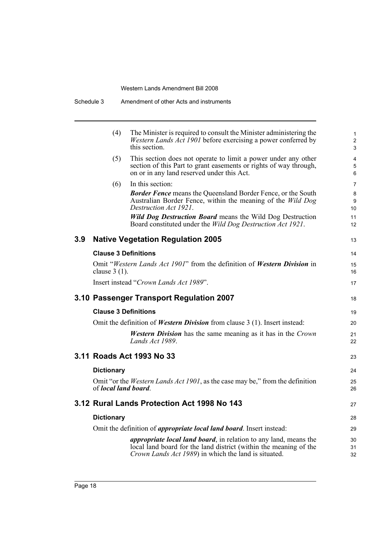|     | (4)                         | The Minister is required to consult the Minister administering the<br>Western Lands Act 1901 before exercising a power conferred by<br>this section.                                                  | 1<br>$\overline{c}$<br>3 |
|-----|-----------------------------|-------------------------------------------------------------------------------------------------------------------------------------------------------------------------------------------------------|--------------------------|
|     | (5)                         | This section does not operate to limit a power under any other<br>section of this Part to grant easements or rights of way through,<br>on or in any land reserved under this Act.                     | 4<br>5<br>6              |
|     | (6)                         | In this section:                                                                                                                                                                                      | 7                        |
|     |                             | <b>Border Fence</b> means the Queensland Border Fence, or the South<br>Australian Border Fence, within the meaning of the Wild Dog<br>Destruction Act 1921.                                           | 8<br>9<br>10             |
|     |                             | <b>Wild Dog Destruction Board means the Wild Dog Destruction</b><br>Board constituted under the Wild Dog Destruction Act 1921.                                                                        | 11<br>12                 |
| 3.9 |                             | <b>Native Vegetation Regulation 2005</b>                                                                                                                                                              | 13                       |
|     | <b>Clause 3 Definitions</b> |                                                                                                                                                                                                       | 14                       |
|     | clause $3(1)$ .             | Omit "Western Lands Act 1901" from the definition of Western Division in                                                                                                                              | 15<br>16                 |
|     |                             | Insert instead "Crown Lands Act 1989".                                                                                                                                                                | 17                       |
|     |                             | 3.10 Passenger Transport Regulation 2007                                                                                                                                                              | 18                       |
|     | <b>Clause 3 Definitions</b> |                                                                                                                                                                                                       | 19                       |
|     |                             | Omit the definition of <i>Western Division</i> from clause 3 (1). Insert instead:                                                                                                                     | 20                       |
|     |                             | <b>Western Division</b> has the same meaning as it has in the Crown<br>Lands Act 1989.                                                                                                                | 21<br>22                 |
|     |                             | 3.11 Roads Act 1993 No 33                                                                                                                                                                             | 23                       |
|     | <b>Dictionary</b>           |                                                                                                                                                                                                       | 24                       |
|     | of local land board.        | Omit "or the <i>Western Lands Act 1901</i> , as the case may be," from the definition                                                                                                                 | 25<br>26                 |
|     |                             | 3.12 Rural Lands Protection Act 1998 No 143                                                                                                                                                           | 27                       |
|     | <b>Dictionary</b>           |                                                                                                                                                                                                       | 28                       |
|     |                             | Omit the definition of <i>appropriate local land board</i> . Insert instead:                                                                                                                          | 29                       |
|     |                             | <i>appropriate local land board</i> , in relation to any land, means the<br>local land board for the land district (within the meaning of the<br>Crown Lands Act 1989) in which the land is situated. | 30<br>31<br>32           |
|     |                             |                                                                                                                                                                                                       |                          |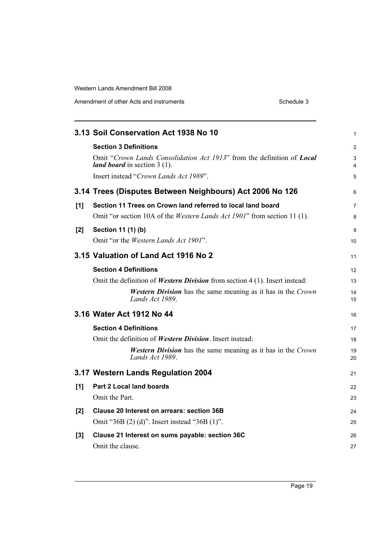Amendment of other Acts and instruments

| Schedule 3 |  |
|------------|--|
|            |  |

|     | 3.13 Soil Conservation Act 1938 No 10                                                                           | 1              |
|-----|-----------------------------------------------------------------------------------------------------------------|----------------|
|     | <b>Section 3 Definitions</b>                                                                                    | $\overline{c}$ |
|     | Omit "Crown Lands Consolidation Act 1913" from the definition of Local<br><i>land board</i> in section $3(1)$ . | 3<br>4         |
|     | Insert instead "Crown Lands Act 1989".                                                                          | 5              |
|     | 3.14 Trees (Disputes Between Neighbours) Act 2006 No 126                                                        | 6              |
| [1] | Section 11 Trees on Crown land referred to local land board                                                     | 7              |
|     | Omit "or section 10A of the <i>Western Lands Act 1901</i> " from section 11 (1).                                | 8              |
| [2] | Section 11 (1) (b)                                                                                              | 9              |
|     | Omit "or the Western Lands Act 1901".                                                                           | 10             |
|     | 3.15 Valuation of Land Act 1916 No 2                                                                            | 11             |
|     | <b>Section 4 Definitions</b>                                                                                    | 12             |
|     | Omit the definition of <i>Western Division</i> from section $4(1)$ . Insert instead:                            | 13             |
|     | <b>Western Division</b> has the same meaning as it has in the Crown<br>Lands Act 1989.                          | 14<br>15       |
|     | 3.16 Water Act 1912 No 44                                                                                       | 16             |
|     | <b>Section 4 Definitions</b>                                                                                    | 17             |
|     | Omit the definition of <i>Western Division</i> . Insert instead:                                                | 18             |
|     | <b>Western Division</b> has the same meaning as it has in the Crown<br>Lands Act 1989.                          | 19<br>20       |
|     | 3.17 Western Lands Regulation 2004                                                                              | 21             |
| [1] | <b>Part 2 Local land boards</b>                                                                                 | 22             |
|     | Omit the Part.                                                                                                  | 23             |
| [2] | Clause 20 Interest on arrears: section 36B                                                                      | 24             |
|     | Omit "36B (2) (d)". Insert instead "36B (1)".                                                                   | 25             |
| [3] | Clause 21 Interest on sums payable: section 36C                                                                 | 26             |
|     | Omit the clause.                                                                                                | 27             |